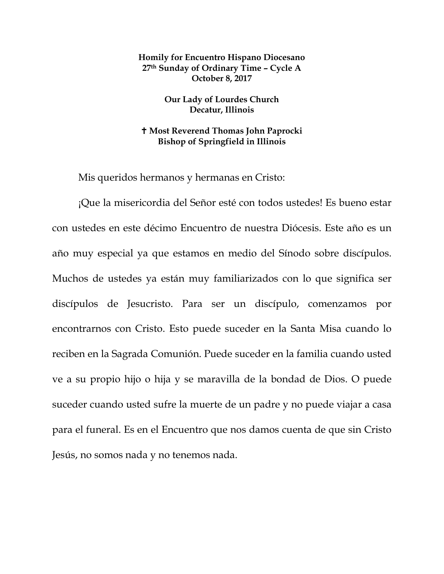## **Homily for Encuentro Hispano Diocesano 27th Sunday of Ordinary Time – Cycle A October 8, 2017**

## **Our Lady of Lourdes Church Decatur, Illinois**

## **Most Reverend Thomas John Paprocki Bishop of Springfield in Illinois**

Mis queridos hermanos y hermanas en Cristo:

¡Que la misericordia del Señor esté con todos ustedes! Es bueno estar con ustedes en este décimo Encuentro de nuestra Diócesis. Este año es un año muy especial ya que estamos en medio del Sínodo sobre discípulos. Muchos de ustedes ya están muy familiarizados con lo que significa ser discípulos de Jesucristo. Para ser un discípulo, comenzamos por encontrarnos con Cristo. Esto puede suceder en la Santa Misa cuando lo reciben en la Sagrada Comunión. Puede suceder en la familia cuando usted ve a su propio hijo o hija y se maravilla de la bondad de Dios. O puede suceder cuando usted sufre la muerte de un padre y no puede viajar a casa para el funeral. Es en el Encuentro que nos damos cuenta de que sin Cristo Jesús, no somos nada y no tenemos nada.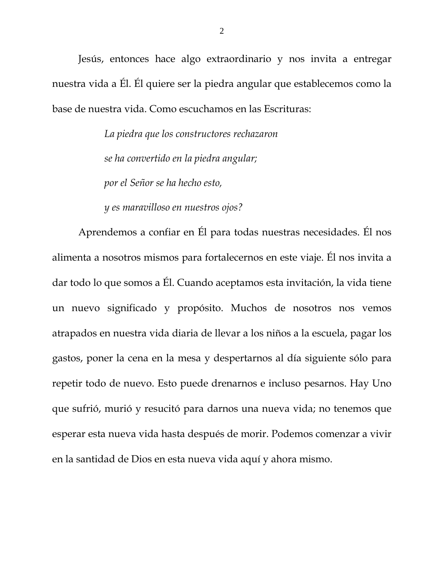Jesús, entonces hace algo extraordinario y nos invita a entregar nuestra vida a Él. Él quiere ser la piedra angular que establecemos como la base de nuestra vida. Como escuchamos en las Escrituras:

> *La piedra que los constructores rechazaron se ha convertido en la piedra angular; por el Señor se ha hecho esto,*

*y es maravilloso en nuestros ojos?*

Aprendemos a confiar en Él para todas nuestras necesidades. Él nos alimenta a nosotros mismos para fortalecernos en este viaje. Él nos invita a dar todo lo que somos a Él. Cuando aceptamos esta invitación, la vida tiene un nuevo significado y propósito. Muchos de nosotros nos vemos atrapados en nuestra vida diaria de llevar a los niños a la escuela, pagar los gastos, poner la cena en la mesa y despertarnos al día siguiente sólo para repetir todo de nuevo. Esto puede drenarnos e incluso pesarnos. Hay Uno que sufrió, murió y resucitó para darnos una nueva vida; no tenemos que esperar esta nueva vida hasta después de morir. Podemos comenzar a vivir en la santidad de Dios en esta nueva vida aquí y ahora mismo.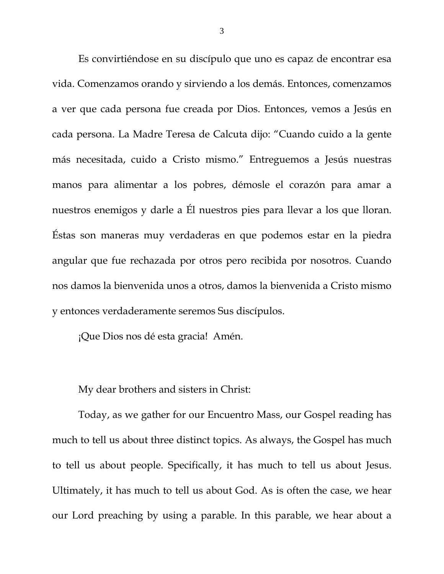Es convirtiéndose en su discípulo que uno es capaz de encontrar esa vida. Comenzamos orando y sirviendo a los demás. Entonces, comenzamos a ver que cada persona fue creada por Dios. Entonces, vemos a Jesús en cada persona. La Madre Teresa de Calcuta dijo: "Cuando cuido a la gente más necesitada, cuido a Cristo mismo." Entreguemos a Jesús nuestras manos para alimentar a los pobres, démosle el corazón para amar a nuestros enemigos y darle a Él nuestros pies para llevar a los que lloran. Éstas son maneras muy verdaderas en que podemos estar en la piedra angular que fue rechazada por otros pero recibida por nosotros. Cuando nos damos la bienvenida unos a otros, damos la bienvenida a Cristo mismo y entonces verdaderamente seremos Sus discípulos.

¡Que Dios nos dé esta gracia! Amén.

<span id="page-2-0"></span>

My dear brothers and sisters in Christ:

Today, as we gather for our Encuentro Mass, our Gospel reading has much to tell us about three distinct topics. As always, the Gospel has much to tell us about people. Specifically, it has much to tell us about Jesus. Ultimately, it has much to tell us about God. As is often the case, we hear our Lord preaching by using a parable. In this parable, we hear about a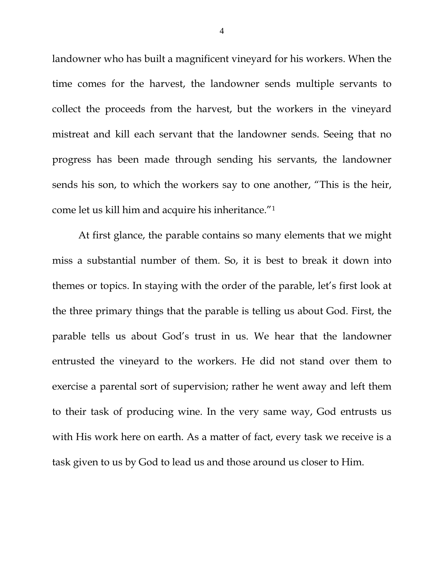landowner who has built a magnificent vineyard for his workers. When the time comes for the harvest, the landowner sends multiple servants to collect the proceeds from the harvest, but the workers in the vineyard mistreat and kill each servant that the landowner sends. Seeing that no progress has been made through sending his servants, the landowner sends his son, to which the workers say to one another, "This is the heir, come let us kill him and acquire his inheritance."[1](#page-2-0)

At first glance, the parable contains so many elements that we might miss a substantial number of them. So, it is best to break it down into themes or topics. In staying with the order of the parable, let's first look at the three primary things that the parable is telling us about God. First, the parable tells us about God's trust in us. We hear that the landowner entrusted the vineyard to the workers. He did not stand over them to exercise a parental sort of supervision; rather he went away and left them to their task of producing wine. In the very same way, God entrusts us with His work here on earth. As a matter of fact, every task we receive is a task given to us by God to lead us and those around us closer to Him.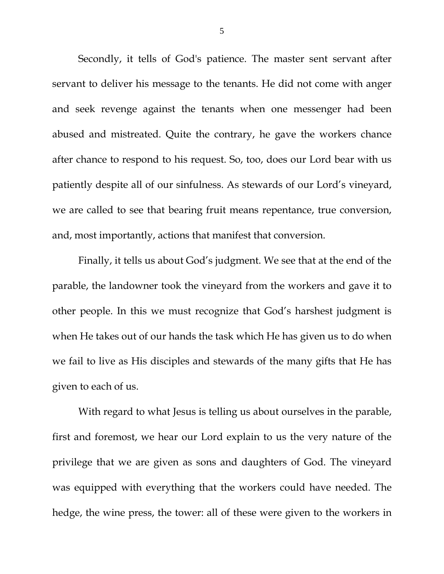Secondly, it tells of God's patience. The master sent servant after servant to deliver his message to the tenants. He did not come with anger and seek revenge against the tenants when one messenger had been abused and mistreated. Quite the contrary, he gave the workers chance after chance to respond to his request. So, too, does our Lord bear with us patiently despite all of our sinfulness. As stewards of our Lord's vineyard, we are called to see that bearing fruit means repentance, true conversion, and, most importantly, actions that manifest that conversion.

Finally, it tells us about God's judgment. We see that at the end of the parable, the landowner took the vineyard from the workers and gave it to other people. In this we must recognize that God's harshest judgment is when He takes out of our hands the task which He has given us to do when we fail to live as His disciples and stewards of the many gifts that He has given to each of us.

With regard to what Jesus is telling us about ourselves in the parable, first and foremost, we hear our Lord explain to us the very nature of the privilege that we are given as sons and daughters of God. The vineyard was equipped with everything that the workers could have needed. The hedge, the wine press, the tower: all of these were given to the workers in

5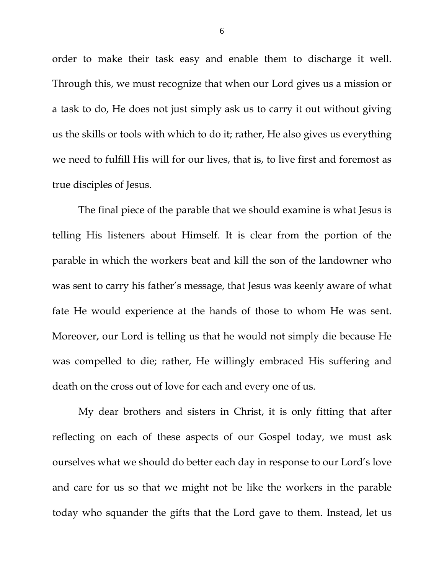order to make their task easy and enable them to discharge it well. Through this, we must recognize that when our Lord gives us a mission or a task to do, He does not just simply ask us to carry it out without giving us the skills or tools with which to do it; rather, He also gives us everything we need to fulfill His will for our lives, that is, to live first and foremost as true disciples of Jesus.

The final piece of the parable that we should examine is what Jesus is telling His listeners about Himself. It is clear from the portion of the parable in which the workers beat and kill the son of the landowner who was sent to carry his father's message, that Jesus was keenly aware of what fate He would experience at the hands of those to whom He was sent. Moreover, our Lord is telling us that he would not simply die because He was compelled to die; rather, He willingly embraced His suffering and death on the cross out of love for each and every one of us.

My dear brothers and sisters in Christ, it is only fitting that after reflecting on each of these aspects of our Gospel today, we must ask ourselves what we should do better each day in response to our Lord's love and care for us so that we might not be like the workers in the parable today who squander the gifts that the Lord gave to them. Instead, let us